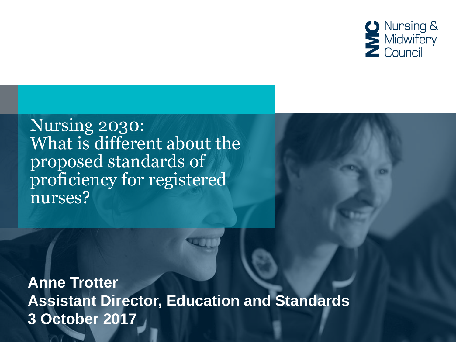

#### Nursing 2030: What is different about the proposed standards of proficiency for registered nurses?

**Anne Trotter Assistant Director, Education and Standards 3 October 2017**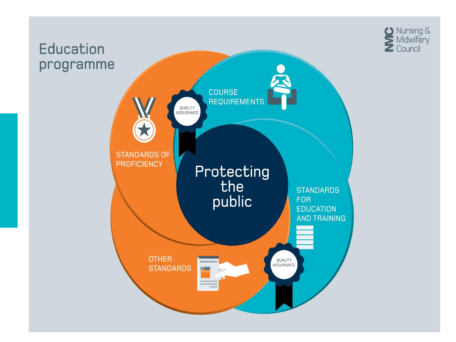

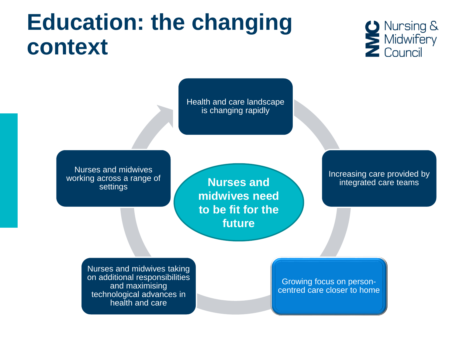### **Education: the changing context**



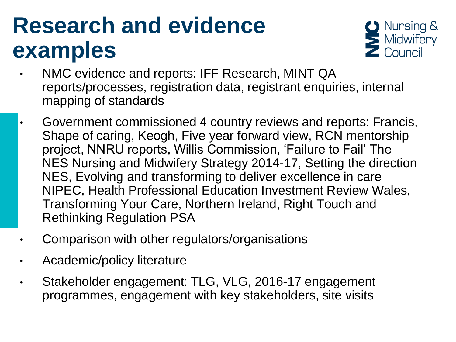## **Research and evidence examples**



- NMC evidence and reports: IFF Research, MINT QA reports/processes, registration data, registrant enquiries, internal mapping of standards
- Government commissioned 4 country reviews and reports: Francis, Shape of caring, Keogh, Five year forward view, RCN mentorship project, NNRU reports, Willis Commission, 'Failure to Fail' The NES Nursing and Midwifery Strategy 2014-17, Setting the direction NES, Evolving and transforming to deliver excellence in care NIPEC, Health Professional Education Investment Review Wales, Transforming Your Care, Northern Ireland, Right Touch and Rethinking Regulation PSA
- Comparison with other regulators/organisations
- Academic/policy literature
- Stakeholder engagement: TLG, VLG, 2016-17 engagement programmes, engagement with key stakeholders, site visits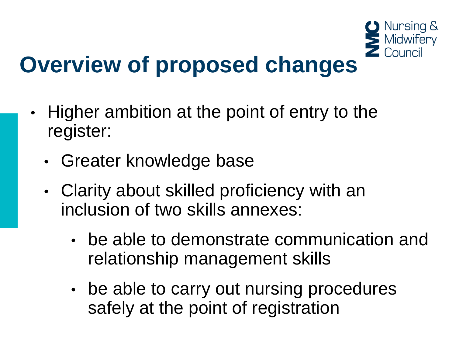

- Higher ambition at the point of entry to the register:
	- Greater knowledge base
	- Clarity about skilled proficiency with an inclusion of two skills annexes:
		- be able to demonstrate communication and relationship management skills
		- be able to carry out nursing procedures safely at the point of registration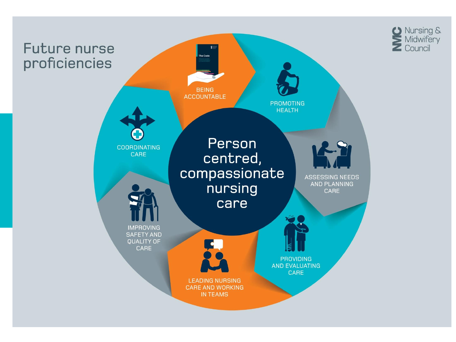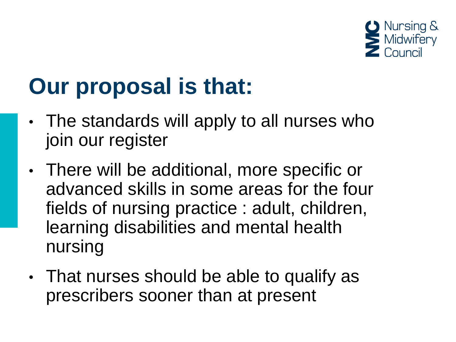

# **Our proposal is that:**

- The standards will apply to all nurses who join our register
- There will be additional, more specific or advanced skills in some areas for the four fields of nursing practice : adult, children, learning disabilities and mental health nursing
- That nurses should be able to qualify as prescribers sooner than at present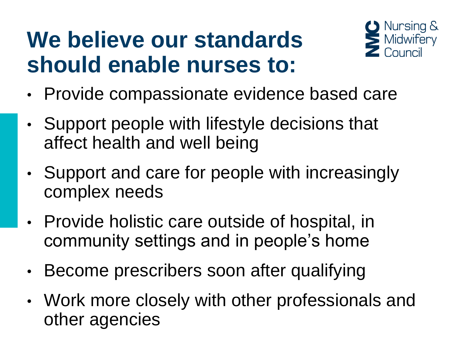## **We believe our standards should enable nurses to:**



- Provide compassionate evidence based care
- Support people with lifestyle decisions that affect health and well being
- Support and care for people with increasingly complex needs
- Provide holistic care outside of hospital, in community settings and in people's home
- Become prescribers soon after qualifying
- Work more closely with other professionals and other agencies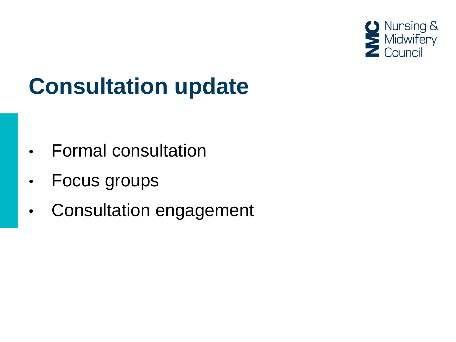

# **Consultation update**

- Formal consultation
- Focus groups
- Consultation engagement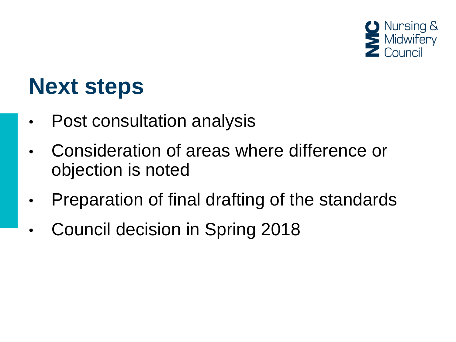

#### **Next steps**

- Post consultation analysis
- Consideration of areas where difference or objection is noted
- Preparation of final drafting of the standards
- Council decision in Spring 2018